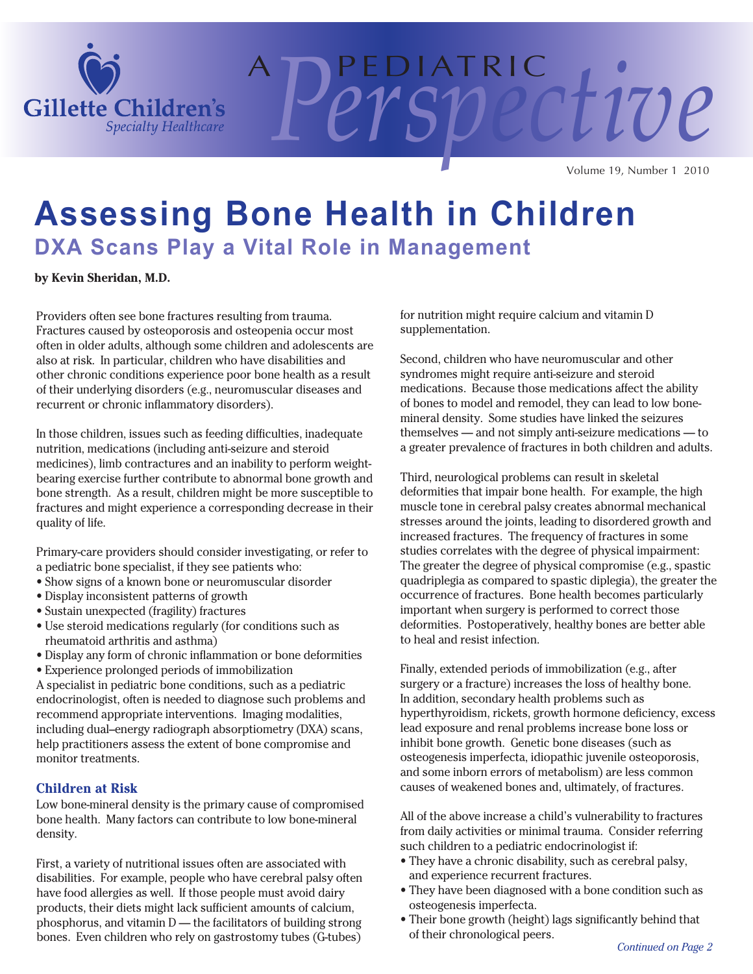

A P E D I AT R I C *Perspective* Volume 19, Number 1 2010

## **Assessing Bone Health in Children DXA Scans Play a Vital Role in Management**

**by Kevin Sheridan, M.D.**

Providers often see bone fractures resulting from trauma. Fractures caused by osteoporosis and osteopenia occur most often in older adults, although some children and adolescents are also at risk. In particular, children who have disabilities and other chronic conditions experience poor bone health as a result of their underlying disorders (e.g., neuromuscular diseases and recurrent or chronic inflammatory disorders).

In those children, issues such as feeding difficulties, inadequate nutrition, medications (including anti-seizure and steroid medicines), limb contractures and an inability to perform weightbearing exercise further contribute to abnormal bone growth and bone strength. As a result, children might be more susceptible to fractures and might experience a corresponding decrease in their quality of life.

Primary-care providers should consider investigating, or refer to a pediatric bone specialist, if they see patients who:

- Show signs of a known bone or neuromuscular disorder
- Display inconsistent patterns of growth
- Sustain unexpected (fragility) fractures
- Use steroid medications regularly (for conditions such as rheumatoid arthritis and asthma)
- Display any form of chronic inflammation or bone deformities
- Experience prolonged periods of immobilization

A specialist in pediatric bone conditions, such as a pediatric endocrinologist, often is needed to diagnose such problems and recommend appropriate interventions. Imaging modalities, including dual–energy radiograph absorptiometry (DXA) scans, help practitioners assess the extent of bone compromise and monitor treatments.

#### **Children at Risk**

Low bone-mineral density is the primary cause of compromised bone health. Many factors can contribute to low bone-mineral density.

First, a variety of nutritional issues often are associated with disabilities. For example, people who have cerebral palsy often have food allergies as well. If those people must avoid dairy products, their diets might lack sufficient amounts of calcium, phosphorus, and vitamin D — the facilitators of building strong bones. Even children who rely on gastrostomy tubes (G-tubes)

for nutrition might require calcium and vitamin D supplementation.

Second, children who have neuromuscular and other syndromes might require anti-seizure and steroid medications. Because those medications affect the ability of bones to model and remodel, they can lead to low bonemineral density. Some studies have linked the seizures themselves — and not simply anti-seizure medications — to a greater prevalence of fractures in both children and adults.

Third, neurological problems can result in skeletal deformities that impair bone health. For example, the high muscle tone in cerebral palsy creates abnormal mechanical stresses around the joints, leading to disordered growth and increased fractures. The frequency of fractures in some studies correlates with the degree of physical impairment: The greater the degree of physical compromise (e.g., spastic quadriplegia as compared to spastic diplegia), the greater the occurrence of fractures. Bone health becomes particularly important when surgery is performed to correct those deformities. Postoperatively, healthy bones are better able to heal and resist infection.

Finally, extended periods of immobilization (e.g., after surgery or a fracture) increases the loss of healthy bone. In addition, secondary health problems such as hyperthyroidism, rickets, growth hormone deficiency, excess lead exposure and renal problems increase bone loss or inhibit bone growth. Genetic bone diseases (such as osteogenesis imperfecta, idiopathic juvenile osteoporosis, and some inborn errors of metabolism) are less common causes of weakened bones and, ultimately, of fractures.

All of the above increase a child's vulnerability to fractures from daily activities or minimal trauma. Consider referring such children to a pediatric endocrinologist if:

- They have a chronic disability, such as cerebral palsy, and experience recurrent fractures.
- They have been diagnosed with a bone condition such as osteogenesis imperfecta.
- Their bone growth (height) lags significantly behind that of their chronological peers.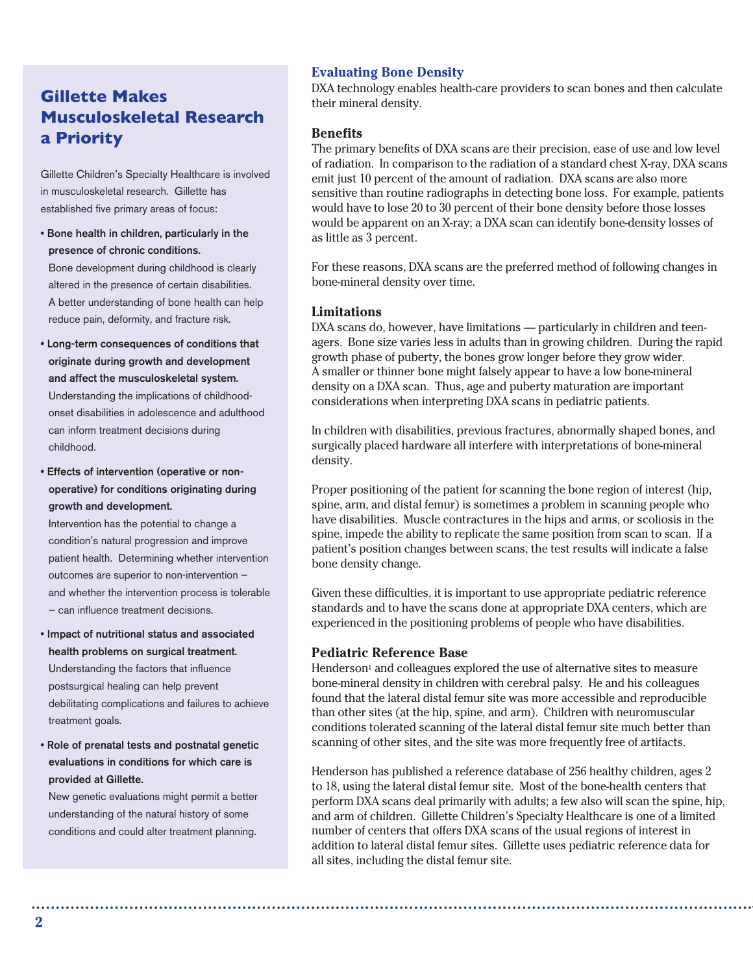### **Gillette Makes Musculoskeletal Research a Priority**

Gillette Children's Specialty Healthcare is involved in musculoskeletal research. Gillette has established five primary areas of focus:

- **Bone health in children, particularly in the presence of chronic conditions.** Bone development during childhood is clearly altered in the presence of certain disabilities. A better understanding of bone health can help reduce pain, deformity, and fracture risk.
- **Long-term consequences of conditions that originate during growth and development and affect the musculoskeletal system.** Understanding the implications of childhoodonset disabilities in adolescence and adulthood can inform treatment decisions during childhood.
- **Effects of intervention (operative or nonoperative) for conditions originating during growth and development.**

Intervention has the potential to change a condition's natural progression and improve patient health. Determining whether intervention outcomes are superior to non-intervention – and whether the intervention process is tolerable — can influence treatment decisions.

- **Impact of nutritional status and associated health problems on surgical treatment.** Understanding the factors that influence postsurgical healing can help prevent debilitating complications and failures to achieve treatment goals.
- **Role of prenatal tests and postnatal genetic evaluations in conditions for which care is provided at Gillette.**

New genetic evaluations might permit a better understanding of the natural history of some conditions and could alter treatment planning.

#### **Evaluating Bone Density**

DXA technology enables health-care providers to scan bones and then calculate their mineral density.

#### **Benefits**

The primary benefits of DXA scans are their precision, ease of use and low level of radiation. In comparison to the radiation of a standard chest X-ray, DXA scans emit just 10 percent of the amount of radiation. DXA scans are also more sensitive than routine radiographs in detecting bone loss. For example, patients would have to lose 20 to 30 percent of their bone density before those losses would be apparent on an X-ray; a DXA scan can identify bone-density losses of as little as 3 percent.

For these reasons, DXA scans are the preferred method of following changes in bone-mineral density over time.

#### **Limitations**

DXA scans do, however, have limitations — particularly in children and teenagers. Bone size varies less in adults than in growing children. During the rapid growth phase of puberty, the bones grow longer before they grow wider. A smaller or thinner bone might falsely appear to have a low bone-mineral density on a DXA scan. Thus, age and puberty maturation are important considerations when interpreting DXA scans in pediatric patients.

In children with disabilities, previous fractures, abnormally shaped bones, and surgically placed hardware all interfere with interpretations of bone-mineral density.

Proper positioning of the patient for scanning the bone region of interest (hip, spine, arm, and distal femur) is sometimes a problem in scanning people who have disabilities. Muscle contractures in the hips and arms, or scoliosis in the spine, impede the ability to replicate the same position from scan to scan. If a patient's position changes between scans, the test results will indicate a false bone density change.

Given these difficulties, it is important to use appropriate pediatric reference standards and to have the scans done at appropriate DXA centers, which are experienced in the positioning problems of people who have disabilities.

#### **Pediatric Reference Base**

Henderson<sup>1</sup> and colleagues explored the use of alternative sites to measure bone-mineral density in children with cerebral palsy. He and his colleagues found that the lateral distal femur site was more accessible and reproducible than other sites (at the hip, spine, and arm). Children with neuromuscular conditions tolerated scanning of the lateral distal femur site much better than scanning of other sites, and the site was more frequently free of artifacts.

Henderson has published a reference database of 256 healthy children, ages 2 to 18, using the lateral distal femur site. Most of the bone-health centers that perform DXA scans deal primarily with adults; a few also will scan the spine, hip, and arm of children. Gillette Children's Specialty Healthcare is one of a limited number of centers that offers DXA scans of the usual regions of interest in addition to lateral distal femur sites. Gillette uses pediatric reference data for all sites, including the distal femur site.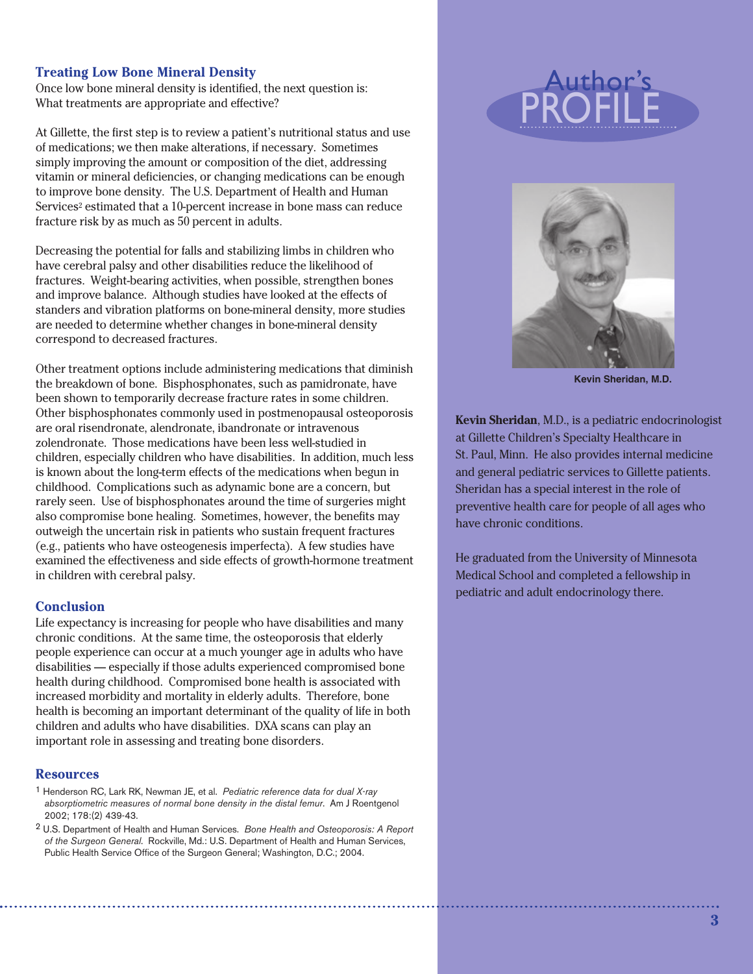#### **Treating Low Bone Mineral Density**

Once low bone mineral density is identified, the next question is: What treatments are appropriate and effective?

At Gillette, the first step is to review a patient's nutritional status and use of medications; we then make alterations, if necessary. Sometimes simply improving the amount or composition of the diet, addressing vitamin or mineral deficiencies, or changing medications can be enough to improve bone density. The U.S. Department of Health and Human Services<sup>2</sup> estimated that a 10-percent increase in bone mass can reduce fracture risk by as much as 50 percent in adults.

Decreasing the potential for falls and stabilizing limbs in children who have cerebral palsy and other disabilities reduce the likelihood of fractures. Weight-bearing activities, when possible, strengthen bones and improve balance. Although studies have looked at the effects of standers and vibration platforms on bone-mineral density, more studies are needed to determine whether changes in bone-mineral density correspond to decreased fractures.

Other treatment options include administering medications that diminish the breakdown of bone. Bisphosphonates, such as pamidronate, have been shown to temporarily decrease fracture rates in some children. Other bisphosphonates commonly used in postmenopausal osteoporosis are oral risendronate, alendronate, ibandronate or intravenous zolendronate. Those medications have been less well-studied in children, especially children who have disabilities. In addition, much less is known about the long-term effects of the medications when begun in childhood. Complications such as adynamic bone are a concern, but rarely seen. Use of bisphosphonates around the time of surgeries might also compromise bone healing. Sometimes, however, the benefits may outweigh the uncertain risk in patients who sustain frequent fractures (e.g., patients who have osteogenesis imperfecta). A few studies have examined the effectiveness and side effects of growth-hormone treatment in children with cerebral palsy.

#### **Conclusion**

Life expectancy is increasing for people who have disabilities and many chronic conditions. At the same time, the osteoporosis that elderly people experience can occur at a much younger age in adults who have disabilities — especially if those adults experienced compromised bone health during childhood. Compromised bone health is associated with increased morbidity and mortality in elderly adults. Therefore, bone health is becoming an important determinant of the quality of life in both children and adults who have disabilities. DXA scans can play an important role in assessing and treating bone disorders.

#### **Resources**

- 1 Henderson RC, Lark RK, Newman JE, et al. *Pediatric reference data for dual X-ray absorptiometric measures of normal bone density in the distal femur*. Am J Roentgenol 2002; 178:(2) 439-43.
- 2 U.S. Department of Health and Human Services. *Bone Health and Osteoporosis: A Report of the Surgeon General*. Rockville, Md.: U.S. Department of Health and Human Services, Public Health Service Office of the Surgeon General; Washington, D.C.; 2004.

# Profile Author's



**Kevin Sheridan, M.D.**

**Kevin Sheridan**, M.D., is a pediatric endocrinologist at Gillette Children's Specialty Healthcare in St. Paul, Minn. He also provides internal medicine and general pediatric services to Gillette patients. Sheridan has a special interest in the role of preventive health care for people of all ages who have chronic conditions.

He graduated from the University of Minnesota Medical School and completed a fellowship in pediatric and adult endocrinology there.